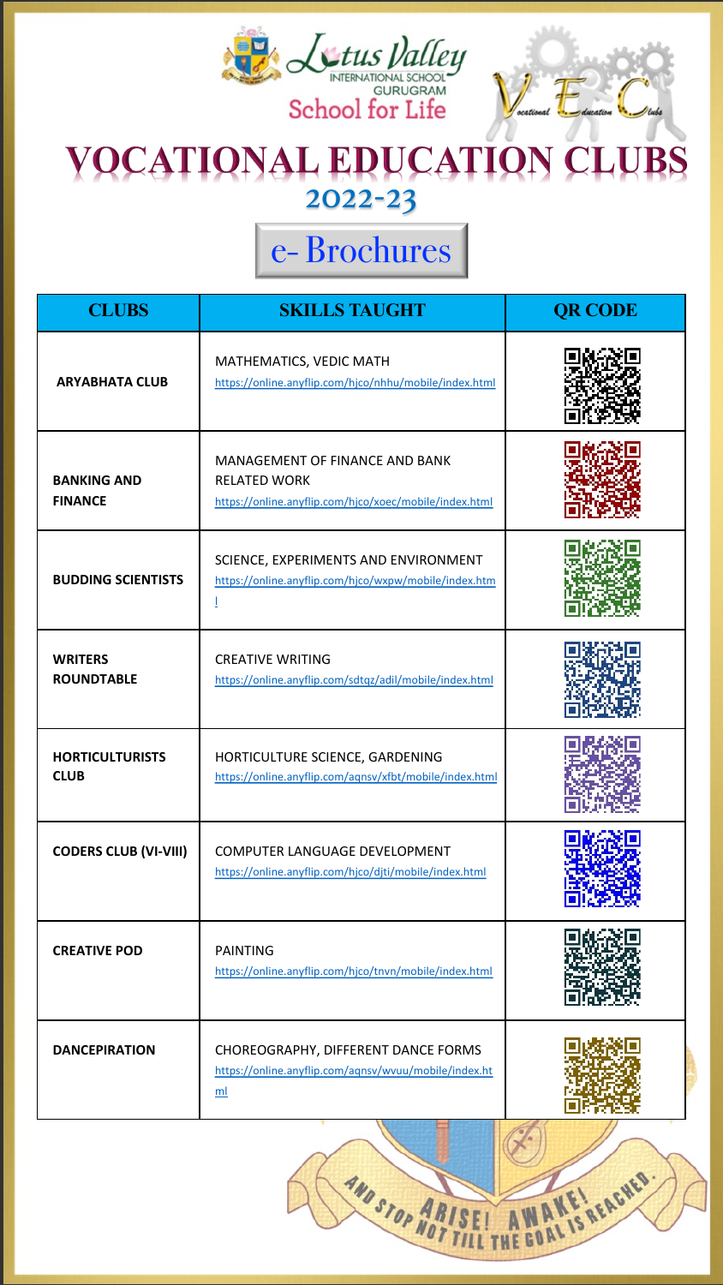## e- Brochures

| <b>CLUBS</b>                          | <b>SKILLS TAUGHT</b>                                                                                            | <b>QR CODE</b> |
|---------------------------------------|-----------------------------------------------------------------------------------------------------------------|----------------|
| <b>ARYABHATA CLUB</b>                 | MATHEMATICS, VEDIC MATH<br>https://online.anyflip.com/hjco/nhhu/mobile/index.html                               |                |
| <b>BANKING AND</b><br><b>FINANCE</b>  | MANAGEMENT OF FINANCE AND BANK<br><b>RELATED WORK</b><br>https://online.anyflip.com/hjco/xoec/mobile/index.html |                |
| <b>BUDDING SCIENTISTS</b>             | SCIENCE, EXPERIMENTS AND ENVIRONMENT<br>https://online.anyflip.com/hjco/wxpw/mobile/index.htm                   |                |
| <b>WRITERS</b><br><b>ROUNDTABLE</b>   | <b>CREATIVE WRITING</b><br>https://online.anyflip.com/sdtqz/adil/mobile/index.html                              |                |
| <b>HORTICULTURISTS</b><br><b>CLUB</b> | HORTICULTURE SCIENCE, GARDENING<br>https://online.anyflip.com/aqnsv/xfbt/mobile/index.html                      |                |
| <b>CODERS CLUB (VI-VIII)</b>          | COMPUTER LANGUAGE DEVELOPMENT<br>https://online.anyflip.com/hjco/djti/mobile/index.html                         |                |
| <b>CREATIVE POD</b>                   | <b>PAINTING</b><br>https://online.anyflip.com/hjco/tnvn/mobile/index.html                                       |                |
| <b>DANCEPIRATION</b>                  | CHOREOGRAPHY, DIFFERENT DANCE FORMS<br>https://online.anyflip.com/aqnsv/wvuu/mobile/index.ht<br>ml              |                |

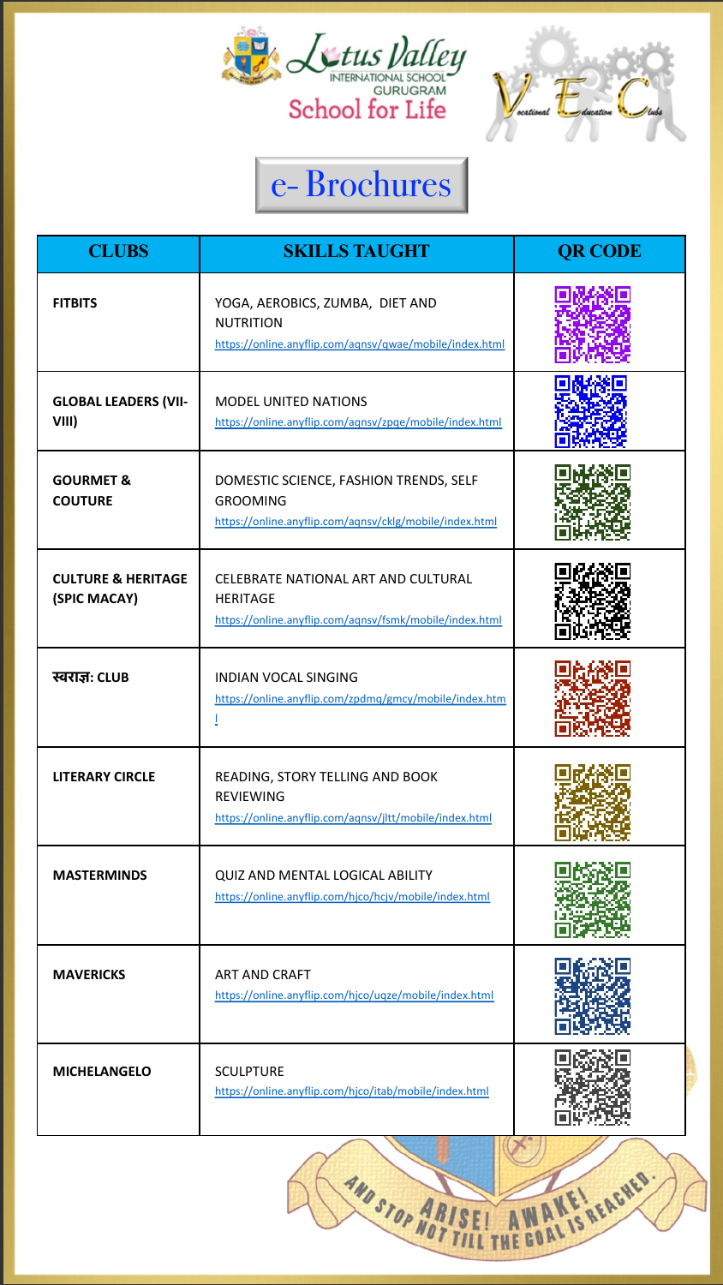| <b>CLUBS</b>                                  | <b>SKILLS TAUGHT</b>                                                                                                 | <b>QR CODE</b> |
|-----------------------------------------------|----------------------------------------------------------------------------------------------------------------------|----------------|
| <b>FITBITS</b>                                | YOGA, AEROBICS, ZUMBA, DIET AND<br><b>NUTRITION</b><br>https://online.anyflip.com/aqnsv/qwae/mobile/index.html       |                |
| <b>GLOBAL LEADERS (VII-</b><br>VIII)          | <b>MODEL UNITED NATIONS</b><br>https://online.anyflip.com/aqnsv/zpqe/mobile/index.html                               |                |
| <b>GOURMET &amp;</b><br><b>COUTURE</b>        | DOMESTIC SCIENCE, FASHION TRENDS, SELF<br><b>GROOMING</b><br>https://online.anyflip.com/aqnsv/cklg/mobile/index.html |                |
| <b>CULTURE &amp; HERITAGE</b><br>(SPIC MACAY) | CELEBRATE NATIONAL ART AND CULTURAL<br><b>HERITAGE</b><br>https://online.anyflip.com/agnsv/fsmk/mobile/index.html    |                |
| स्वराज्ञ: CLUB                                | <b>INDIAN VOCAL SINGING</b><br>https://online.anyflip.com/zpdmq/gmcy/mobile/index.htm                                |                |
| <b>LITERARY CIRCLE</b>                        | READING, STORY TELLING AND BOOK<br><b>REVIEWING</b><br>https://online.anyflip.com/agnsv/jltt/mobile/index.html       |                |
| <b>MASTERMINDS</b>                            | QUIZ AND MENTAL LOGICAL ABILITY<br>https://online.anyflip.com/hjco/hcjv/mobile/index.html                            |                |
| <b>MAVERICKS</b>                              | <b>ART AND CRAFT</b><br>https://online.anyflip.com/hjco/uqze/mobile/index.html                                       |                |
| <b>MICHELANGELO</b>                           | <b>SCULPTURE</b><br>https://online.anyflip.com/hjco/itab/mobile/index.html                                           |                |